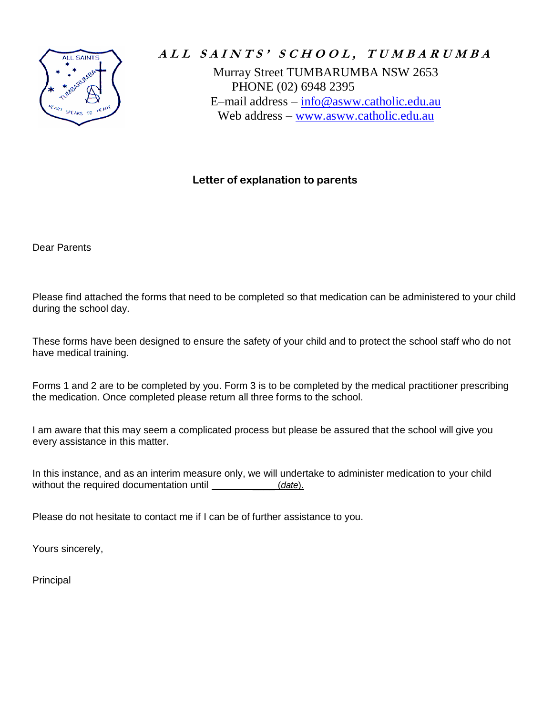

# ALL SAINTS' SCHOOL, TUMBARUMBA

Murray Street TUMBARUMBA NSW 2653 PHONE (02) 6948 2395 E–mail address – [info@asww.catholic.edu.au](mailto:info@asww.catholic.edu.au) Web address – [www.asww.catholic.edu.au](http://www.asww.catholic.edu.au/) 

### **Letter of explanation to parents**

Dear Parents

Please find attached the forms that need to be completed so that medication can be administered to your child during the school day.

These forms have been designed to ensure the safety of your child and to protect the school staff who do not have medical training.

Forms 1 and 2 are to be completed by you. Form 3 is to be completed by the medical practitioner prescribing the medication. Once completed please return all three forms to the school.

I am aware that this may seem a complicated process but please be assured that the school will give you every assistance in this matter.

In this instance, and as an interim measure only, we will undertake to administer medication to your child without the required documentation until \_\_\_\_\_\_\_\_\_\_\_\_\_\_\_\_\_\_\_(*date*).

Please do not hesitate to contact me if I can be of further assistance to you.

Yours sincerely,

Principal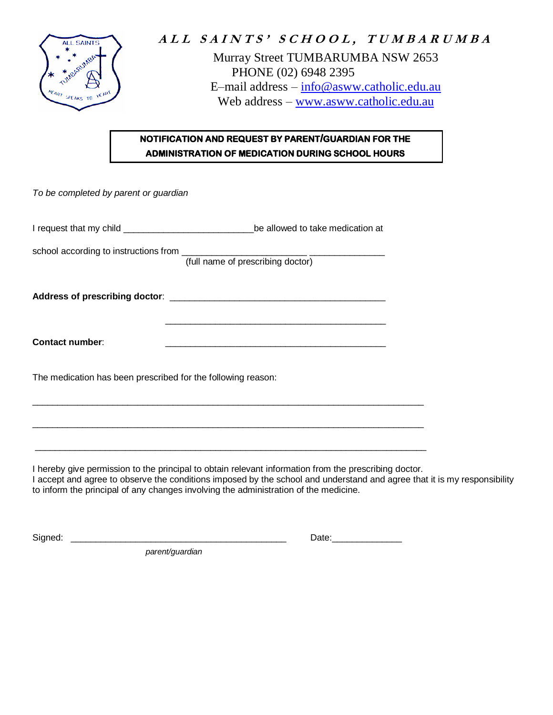

# ALL SAINTS' SCHOOL, TUMBARUMBA Murray Street TUMBARUMBA NSW 2653 PHONE (02) 6948 2395 E–mail address – [info@asww.catholic.edu.au](mailto:info@asww.catholic.edu.au) Web address – [www.asww.catholic.edu.au](http://www.asww.catholic.edu.au/)

## **NOTIFICATION AND REQUEST BY PARENT/GUARDIAN FOR THE ADMINISTRATION OF MEDICATION DURING SCHOOL HOURS**

| To be completed by parent or guardian                        |                                                                                                                       |
|--------------------------------------------------------------|-----------------------------------------------------------------------------------------------------------------------|
|                                                              | I request that my child __________________________________be allowed to take medication at                            |
|                                                              | school according to instructions from [full name of prescribing doctor]                                               |
|                                                              |                                                                                                                       |
| <b>Contact number:</b>                                       | <u> 1989 - Jan James James James James James James James James James James James James James James James James J</u>  |
| The medication has been prescribed for the following reason: |                                                                                                                       |
|                                                              | <u> 1999 - Johann Stoff, deutscher Stoff, der Stoff, der Stoff, der Stoff, der Stoff, der Stoff, der Stoff, der S</u> |
|                                                              |                                                                                                                       |

I hereby give permission to the principal to obtain relevant information from the prescribing doctor.

I accept and agree to observe the conditions imposed by the school and understand and agree that it is my responsibility to inform the principal of any changes involving the administration of the medicine.

Signed: \_\_\_\_\_\_\_\_\_\_\_\_\_\_\_\_\_\_\_\_\_\_\_\_\_\_\_\_\_\_\_\_\_\_\_\_\_\_\_\_\_\_\_ Date:\_\_\_\_\_\_\_\_\_\_\_\_\_\_

*parent/guardian*